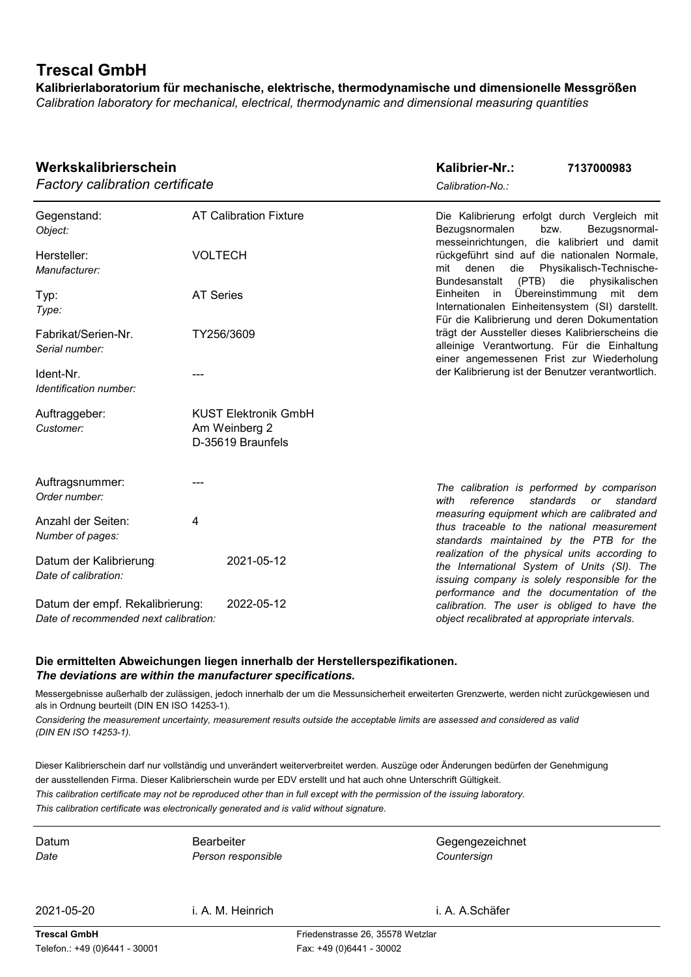# **Trescal GmbH**

**Kalibrierlaboratorium für mechanische, elektrische, thermodynamische und dimensionelle Messgrößen** *Calibration laboratory for mechanical, electrical, thermodynamic and dimensional measuring quantities*

| Werkskalibrierschein<br><b>Factory calibration certificate</b>                         |                                                                   | Kalibrier-Nr.:<br>Calibration-No.:                                                                                                             | 7137000983                                                              |  |
|----------------------------------------------------------------------------------------|-------------------------------------------------------------------|------------------------------------------------------------------------------------------------------------------------------------------------|-------------------------------------------------------------------------|--|
| Gegenstand:<br>Object:                                                                 | <b>AT Calibration Fixture</b>                                     | Die Kalibrierung erfolgt durch Vergleich mit<br>Bezugsnormalen<br>bzw.<br>messeinrichtungen, die kalibriert und damit                          | Bezugsnormal-                                                           |  |
| Hersteller:<br>Manufacturer:                                                           | <b>VOLTECH</b>                                                    | rückgeführt sind auf die nationalen Normale,<br>denen<br>die<br>mit<br><b>Bundesanstalt</b>                                                    | Physikalisch-Technische-<br>(PTB) die physikalischen                    |  |
| Typ:<br>Type:                                                                          | <b>AT Series</b>                                                  | Einheiten in<br>Internationalen Einheitensystem (SI) darstellt.                                                                                | Übereinstimmung mit dem<br>Für die Kalibrierung und deren Dokumentation |  |
| Fabrikat/Serien-Nr.<br>Serial number:                                                  | TY256/3609                                                        | trägt der Aussteller dieses Kalibrierscheins die<br>alleinige Verantwortung. Für die Einhaltung<br>einer angemessenen Frist zur Wiederholung   |                                                                         |  |
| Ident-Nr.<br>Identification number:                                                    |                                                                   | der Kalibrierung ist der Benutzer verantwortlich.                                                                                              |                                                                         |  |
| Auftraggeber:<br>Customer:                                                             | <b>KUST Elektronik GmbH</b><br>Am Weinberg 2<br>D-35619 Braunfels |                                                                                                                                                |                                                                         |  |
| Auftragsnummer:<br>Order number:                                                       |                                                                   | The calibration is performed by comparison<br>with<br>reference<br>standards                                                                   | standard<br>or                                                          |  |
| Anzahl der Seiten:<br>Number of pages:                                                 | 4                                                                 | measuring equipment which are calibrated and<br>thus traceable to the national measurement<br>standards maintained by the PTB for the          |                                                                         |  |
| Datum der Kalibrierung<br>Date of calibration:                                         | 2021-05-12                                                        | realization of the physical units according to<br>the International System of Units (SI). The<br>issuing company is solely responsible for the |                                                                         |  |
| 2022-05-12<br>Datum der empf. Rekalibrierung:<br>Date of recommended next calibration: |                                                                   | performance and the documentation of the<br>calibration. The user is obliged to have the<br>object recalibrated at appropriate intervals.      |                                                                         |  |

#### **Die ermittelten Abweichungen liegen innerhalb der Herstellerspezifikationen.**  *The deviations are within the manufacturer specifications.*

Messergebnisse außerhalb der zulässigen, jedoch innerhalb der um die Messunsicherheit erweiterten Grenzwerte, werden nicht zurückgewiesen und als in Ordnung beurteilt (DIN EN ISO 14253-1).

*Considering the measurement uncertainty, measurement results outside the acceptable limits are assessed and considered as valid (DIN EN ISO 14253-1).*

Dieser Kalibrierschein darf nur vollständig und unverändert weiterverbreitet werden. Auszüge oder Änderungen bedürfen der Genehmigung der ausstellenden Firma. Dieser Kalibrierschein wurde per EDV erstellt und hat auch ohne Unterschrift Gültigkeit.

*This calibration certificate may not be reproduced other than in full except with the permission of the issuing laboratory. This calibration certificate was electronically generated and is valid without signature.*

Bearbeiter *Date Person responsible*

Datum **Gegengezeichnet** Bearbeiter **Gegenweiter** Gegengezeichnet *Countersign*

2021-05-20 i. A. A.Schäfer i. A. M. Heinrich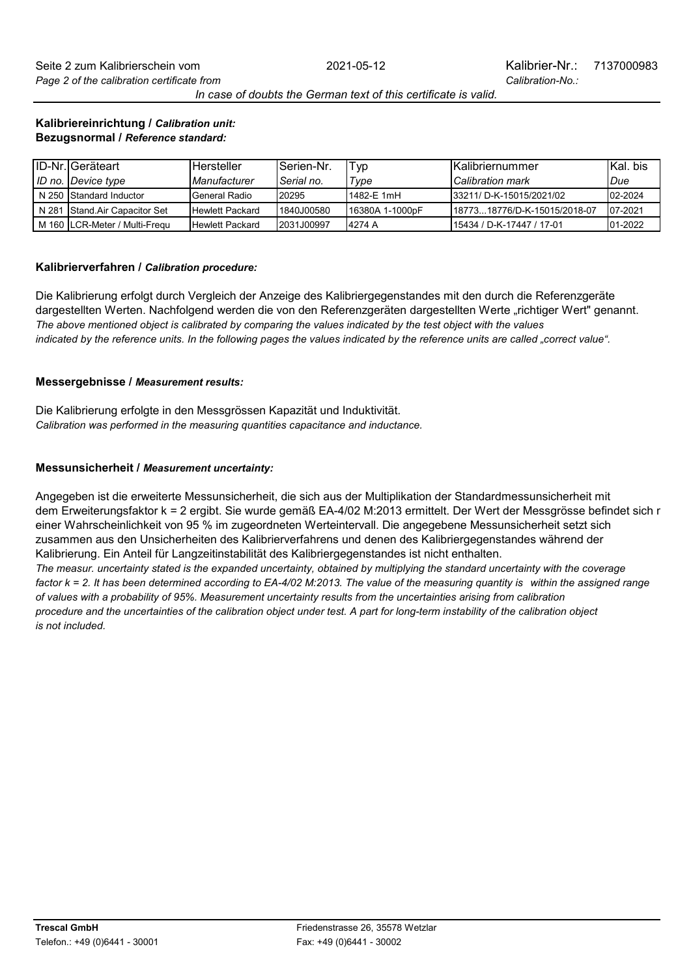*In case of doubts the German text of this certificate is valid.*

Seite 2 zum Kalibrierschein vom *Page 2 of the calibration certificate from*

#### **Kalibriereinrichtung /** *Calibration unit:* **Bezugsnormal /** *Reference standard:*

| <b>ID-Nr.</b> Geräteart       | <b>Hersteller</b>      | <b>I</b> Serien-Nr. | Typ              | <b>IKalibriernummer</b>       | <b>IKal</b> . bis |
|-------------------------------|------------------------|---------------------|------------------|-------------------------------|-------------------|
| ID no. Device type            | Manufacturer           | Serial no.          | Type             | <b>Calibration mark</b>       | Due               |
| N 250 Standard Inductor       | General Radio          | <b>I20295</b>       | 1482-E 1mH       | 33211/ D-K-15015/2021/02      | $02 - 2024$       |
| N 281 Stand Air Capacitor Set | <b>Hewlett Packard</b> | <b>1840J00580</b>   | 116380A 1-1000pF | 11877318776/D-K-15015/2018-07 | 07-2021           |
| M 160 LCR-Meter / Multi-Fregu | <b>Hewlett Packard</b> | <b>2031J00997</b>   | 14274 A          | 15434 / D-K-17447 / 17-01     | 01-2022           |

#### **Kalibrierverfahren /** *Calibration procedure:*

Die Kalibrierung erfolgt durch Vergleich der Anzeige des Kalibriergegenstandes mit den durch die Referenzgeräte *indicated by the reference units. In the following pages the values indicated by the reference units are called "correct value".* dargestellten Werten. Nachfolgend werden die von den Referenzgeräten dargestellten Werte "richtiger Wert" genannt. *The above mentioned object is calibrated by comparing the values indicated by the test object with the values* 

#### **Messergebnisse /** *Measurement results:*

*Calibration was performed in the measuring quantities capacitance and inductance.* Die Kalibrierung erfolgte in den Messgrössen Kapazität und Induktivität.

#### **Messunsicherheit /** *Measurement uncertainty:*

Kalibrierung. Ein Anteil für Langzeitinstabilität des Kalibriergegenstandes ist nicht enthalten. einer Wahrscheinlichkeit von 95 % im zugeordneten Werteintervall. Die angegebene Messunsicherheit setzt sich dem Erweiterungsfaktor k = 2 ergibt. Sie wurde gemäß EA-4/02 M:2013 ermittelt. Der Wert der Messgrösse befindet sich r Angegeben ist die erweiterte Messunsicherheit, die sich aus der Multiplikation der Standardmessunsicherheit mit zusammen aus den Unsicherheiten des Kalibrierverfahrens und denen des Kalibriergegenstandes während der

*The measur. uncertainty stated is the expanded uncertainty, obtained by multiplying the standard uncertainty with the coverage factor k = 2. It has been determined according to EA-4/02 M:2013. The value of the measuring quantity is within the assigned range of values with a probability of 95%. Measurement uncertainty results from the uncertainties arising from calibration procedure and the uncertainties of the calibration object under test. A part for long-term instability of the calibration object is not included.*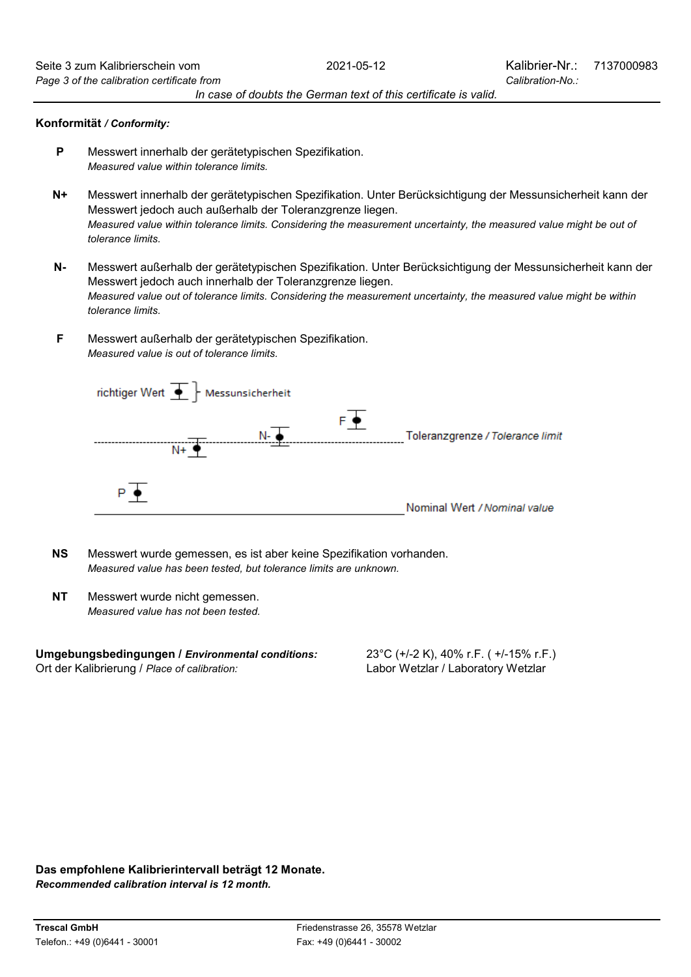#### **Konformität** */ Conformity:*

- Messwert innerhalb der gerätetypischen Spezifikation. **P** *Measured value within tolerance limits.*
- **N+** Messwert innerhalb der gerätetypischen Spezifikation. Unter Berücksichtigung der Messunsicherheit kann der Messwert jedoch auch außerhalb der Toleranzgrenze liegen. *Measured value within tolerance limits. Considering the measurement uncertainty, the measured value might be out of tolerance limits.*
- Messwert jedoch auch innerhalb der Toleranzgrenze liegen. Messwert außerhalb der gerätetypischen Spezifikation. Unter Berücksichtigung der Messunsicherheit kann der **N***tolerance limits. Measured value out of tolerance limits. Considering the measurement uncertainty, the measured value might be within*
- Messwert außerhalb der gerätetypischen Spezifikation. *Measured value is out of tolerance limits.* **F**



- **NS** *Measured value has been tested, but tolerance limits are unknown.* Messwert wurde gemessen, es ist aber keine Spezifikation vorhanden.
- **NT** *Measured value has not been tested.* Messwert wurde nicht gemessen.

**Umgebungsbedingungen /** *Environmental conditions:* Ort der Kalibrierung / *Place of calibration:*

23°C (+/-2 K), 40% r.F. ( +/-15% r.F.) Labor Wetzlar / Laboratory Wetzlar

**Das empfohlene Kalibrierintervall beträgt 12 Monate.**

*Recommended calibration interval is 12 month.*